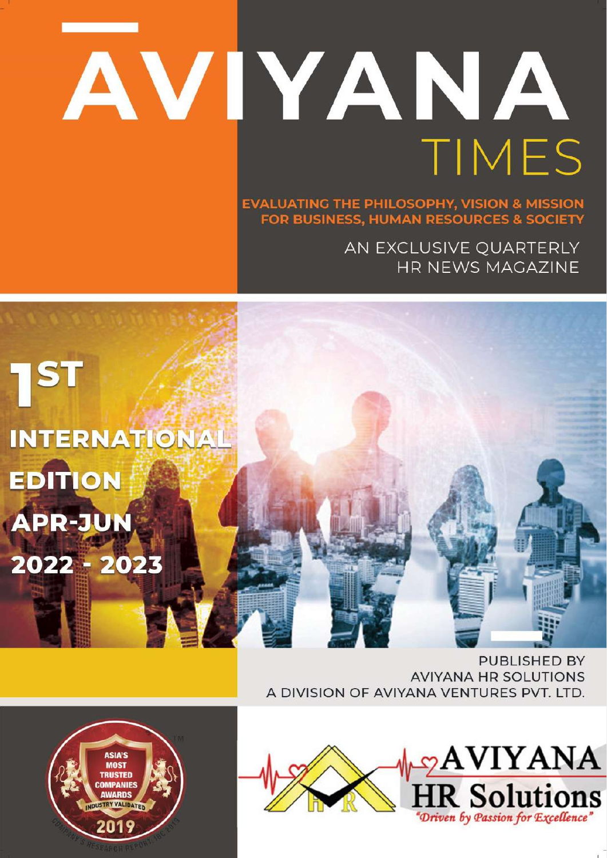## \*Philosophy is a battle against the bewitchment of our intelligence by means of language\* AVIYANA TIMES

**EVALUATING THE PHILOSOPHY, VISION & MISSION FOR BUSINESS, HUMAN RESOURCES & SOCIETY** 

> AN EXCLUSIVE QUARTERLY HR NEWS MAGAZINE



**PUBLISHED BY AVIYANA HR SOLUTIONS** A DIVISION OF AVIYANA VENTURES PVT. LTD.



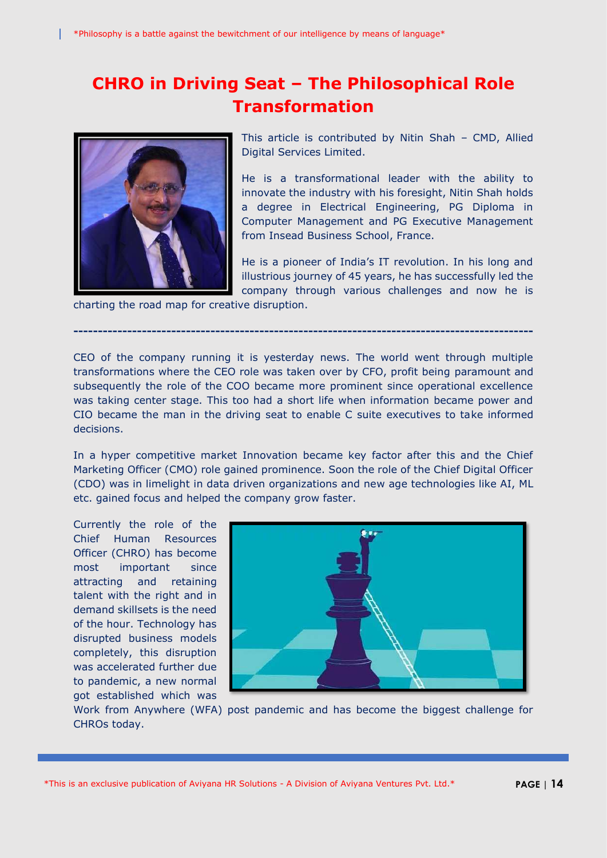## **CHRO in Driving Seat – The Philosophical Role Transformation**



This article is contributed by Nitin Shah – CMD, Allied Digital Services Limited.

He is a transformational leader with the ability to innovate the industry with his foresight, Nitin Shah holds a degree in Electrical Engineering, PG Diploma in Computer Management and PG Executive Management from Insead Business School, France.

He is a pioneer of India's IT revolution. In his long and illustrious journey of 45 years, he has successfully led the company through various challenges and now he is

charting the road map for creative disruption.

CEO of the company running it is yesterday news. The world went through multiple transformations where the CEO role was taken over by CFO, profit being paramount and subsequently the role of the COO became more prominent since operational excellence was taking center stage. This too had a short life when information became power and CIO became the man in the driving seat to enable C suite executives to take informed decisions.

**----------------------------------------------------------------------------------------------**

In a hyper competitive market Innovation became key factor after this and the Chief Marketing Officer (CMO) role gained prominence. Soon the role of the Chief Digital Officer (CDO) was in limelight in data driven organizations and new age technologies like AI, ML etc. gained focus and helped the company grow faster.

Currently the role of the Chief Human Resources Officer (CHRO) has become most important since attracting and retaining talent with the right and in demand skillsets is the need of the hour. Technology has disrupted business models completely, this disruption was accelerated further due to pandemic, a new normal got established which was



Work from Anywhere (WFA) post pandemic and has become the biggest challenge for CHROs today.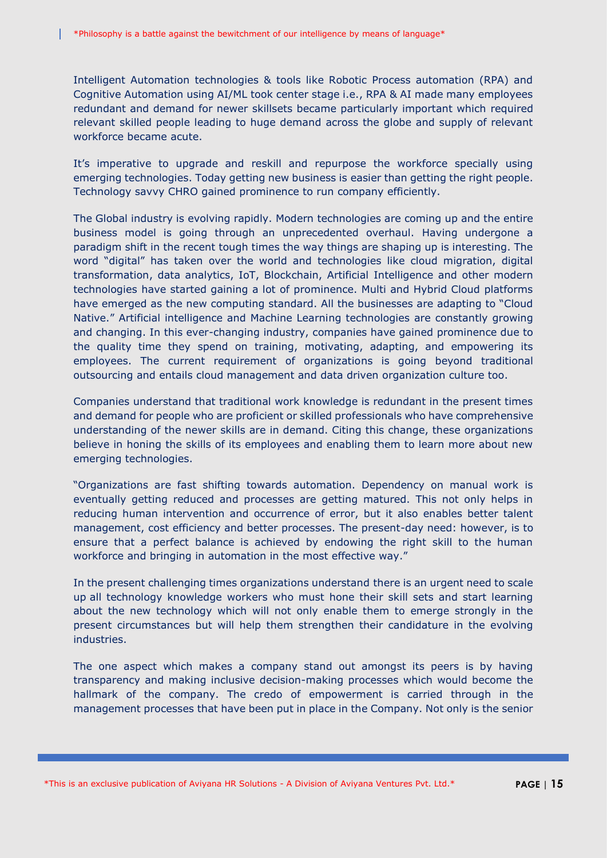Intelligent Automation technologies & tools like Robotic Process automation (RPA) and Cognitive Automation using AI/ML took center stage i.e., RPA & AI made many employees redundant and demand for newer skillsets became particularly important which required relevant skilled people leading to huge demand across the globe and supply of relevant workforce became acute.

It's imperative to upgrade and reskill and repurpose the workforce specially using emerging technologies. Today getting new business is easier than getting the right people. Technology savvy CHRO gained prominence to run company efficiently.

The Global industry is evolving rapidly. Modern technologies are coming up and the entire business model is going through an unprecedented overhaul. Having undergone a paradigm shift in the recent tough times the way things are shaping up is interesting. The word "digital" has taken over the world and technologies like cloud migration, digital transformation, data analytics, IoT, Blockchain, Artificial Intelligence and other modern technologies have started gaining a lot of prominence. Multi and Hybrid Cloud platforms have emerged as the new computing standard. All the businesses are adapting to "Cloud Native." Artificial intelligence and Machine Learning technologies are constantly growing and changing. In this ever-changing industry, companies have gained prominence due to the quality time they spend on training, motivating, adapting, and empowering its employees. The current requirement of organizations is going beyond traditional outsourcing and entails cloud management and data driven organization culture too.

Companies understand that traditional work knowledge is redundant in the present times and demand for people who are proficient or skilled professionals who have comprehensive understanding of the newer skills are in demand. Citing this change, these organizations believe in honing the skills of its employees and enabling them to learn more about new emerging technologies.

"Organizations are fast shifting towards automation. Dependency on manual work is eventually getting reduced and processes are getting matured. This not only helps in reducing human intervention and occurrence of error, but it also enables better talent management, cost efficiency and better processes. The present-day need: however, is to ensure that a perfect balance is achieved by endowing the right skill to the human workforce and bringing in automation in the most effective way."

In the present challenging times organizations understand there is an urgent need to scale up all technology knowledge workers who must hone their skill sets and start learning about the new technology which will not only enable them to emerge strongly in the present circumstances but will help them strengthen their candidature in the evolving industries.

The one aspect which makes a company stand out amongst its peers is by having transparency and making inclusive decision-making processes which would become the hallmark of the company. The credo of empowerment is carried through in the management processes that have been put in place in the Company. Not only is the senior

\*This is an exclusive publication of Aviyana HR Solutions - A Division of Aviyana Ventures Pvt. Ltd.\* **PAGE | 15**